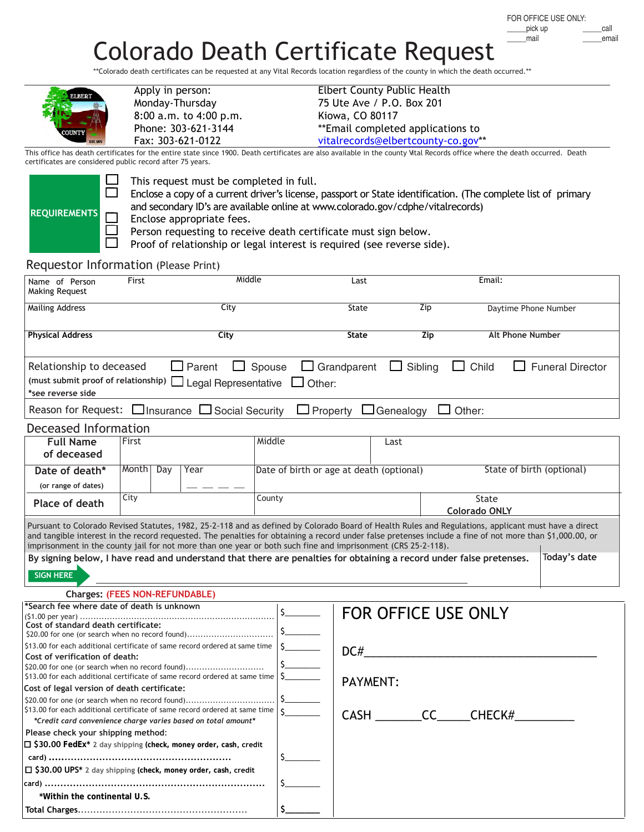## Colorado Death Certificate Request

\*\*Colorado death certificates can be requested at any Vital Records location regardless of the county in which the death occurred.\*\*

| <b>ELBERT</b> | Apply in person:<br>Monday-Thursday<br>8:00 a.m. to 4:00 p.m. |
|---------------|---------------------------------------------------------------|
|               | Phone: 303-621-3144                                           |
|               | Fax: 303-621-0122                                             |

Elbert County Public Health 75 Ute Ave / P.O. Box 201 Kiowa, CO 80117 \*\*Email completed applications to [vitalrecords@elbertcounty-co.gov](mailto:vitalrecords@elbertcounty-co.gov)\*\*

This office has death certificates for the entire state since 1900. Death certificates are also available in the county Vital Records office where the death occurred. Death certificates are considered public record after 75 years.

| <b>REQUIREMENTS</b> |  |
|---------------------|--|

 $\Box$  This request must be completed in full.

 $\Box$  Enclose a copy of a current driver's license, passport or State identification. (The complete list of primary and secondary ID's are available online at www.colorado.gov/cdphe/vitalrecords)

 $\Box$  Enclose appropriate fees.<br> $\Box$  Person requesting to rece

 $\Box$  Person requesting to receive death certificate must sign below.<br> $\Box$  Proof of relationship or legal interest is required (see reverse si

Proof of relationship or legal interest is required (see reverse side).

## Requestor Information (Please Print)

**Total Charges**.......................................................

| Name of Person<br>Making Request                                                                                                                                                                                                                         | Middle<br>First |     |                                                            |               | Last                                     |                    |                                                | Email: |                                         |  |
|----------------------------------------------------------------------------------------------------------------------------------------------------------------------------------------------------------------------------------------------------------|-----------------|-----|------------------------------------------------------------|---------------|------------------------------------------|--------------------|------------------------------------------------|--------|-----------------------------------------|--|
| <b>Mailing Address</b>                                                                                                                                                                                                                                   |                 |     | City                                                       |               |                                          | State              |                                                | Zip    | Daytime Phone Number                    |  |
| <b>Physical Address</b>                                                                                                                                                                                                                                  |                 |     | City                                                       |               |                                          | <b>State</b>       |                                                | Zip    | <b>Alt Phone Number</b>                 |  |
| Relationship to deceased<br>(must submit proof of relationship)<br>*see reverse side                                                                                                                                                                     |                 |     | $\Box$ Parent<br>$\Box$ Legal Representative $\Box$ Other: | $\Box$ Spouse |                                          | $\Box$ Grandparent | $\Box$ Sibling                                 |        | $\Box$ Child<br>$\Box$ Funeral Director |  |
| Reason for Request: $\Box$ Insurance $\Box$ Social Security                                                                                                                                                                                              |                 |     |                                                            |               |                                          |                    | $\Box$ Property $\Box$ Genealogy $\Box$ Other: |        |                                         |  |
| Deceased Information                                                                                                                                                                                                                                     |                 |     |                                                            |               |                                          |                    |                                                |        |                                         |  |
| <b>Full Name</b><br>of deceased                                                                                                                                                                                                                          | First           |     |                                                            | Middle        |                                          |                    | Last                                           |        |                                         |  |
| Date of death*<br>(or range of dates)                                                                                                                                                                                                                    | Month           | Day | Year                                                       |               | Date of birth or age at death (optional) |                    |                                                |        | State of birth (optional)               |  |
| Place of death                                                                                                                                                                                                                                           | City            |     |                                                            | County        |                                          |                    |                                                |        | <b>State</b><br><b>Colorado ONLY</b>    |  |
| imprisonment in the county jail for not more than one year or both such fine and imprisonment (CRS 25-2-118).<br>By signing below, I have read and understand that there are penalties for obtaining a record under false pretenses.<br><b>SIGN HERE</b> |                 |     |                                                            |               |                                          |                    |                                                |        | Today's date                            |  |
| <b>Charges: (FEES NON-REFUNDABLE)</b>                                                                                                                                                                                                                    |                 |     |                                                            |               |                                          |                    |                                                |        |                                         |  |
| *Search fee where date of death is unknown<br>Cost of standard death certificate:<br>\$20.00 for one (or search when no record found)<br>\$13.00 for each additional certificate of same record ordered at same time                                     |                 |     |                                                            |               | $S_{-}$                                  | DC#                |                                                |        | FOR OFFICE USE ONLY                     |  |
| Cost of verification of death:<br>\$20.00 for one (or search when no record found)<br>\$13.00 for each additional certificate of same record ordered at same time                                                                                        |                 |     |                                                            |               |                                          |                    |                                                |        |                                         |  |
| Cost of legal version of death certificate:<br>\$20.00 for one (or search when no record found)                                                                                                                                                          |                 |     |                                                            |               |                                          | <b>PAYMENT:</b>    |                                                |        |                                         |  |
| \$13.00 for each additional certificate of same record ordered at same time<br>*Credit card convenience charge varies based on total amount*<br>Please check your shipping method:                                                                       |                 |     |                                                            | Ś             |                                          | CASH CC            |                                                | CHECK# |                                         |  |
| $\Box$ \$30,00 FedEx* 2 day shipping (check, money order, cash, credit                                                                                                                                                                                   |                 |     |                                                            |               |                                          |                    |                                                |        |                                         |  |
|                                                                                                                                                                                                                                                          |                 |     |                                                            |               | \$                                       |                    |                                                |        |                                         |  |
| $\Box$ \$30.00 UPS* 2 day shipping (check, money order, cash, credit<br>*Within the continental U.S.                                                                                                                                                     |                 |     |                                                            |               |                                          |                    |                                                |        |                                         |  |

**\$\_\_\_\_\_\_\_**